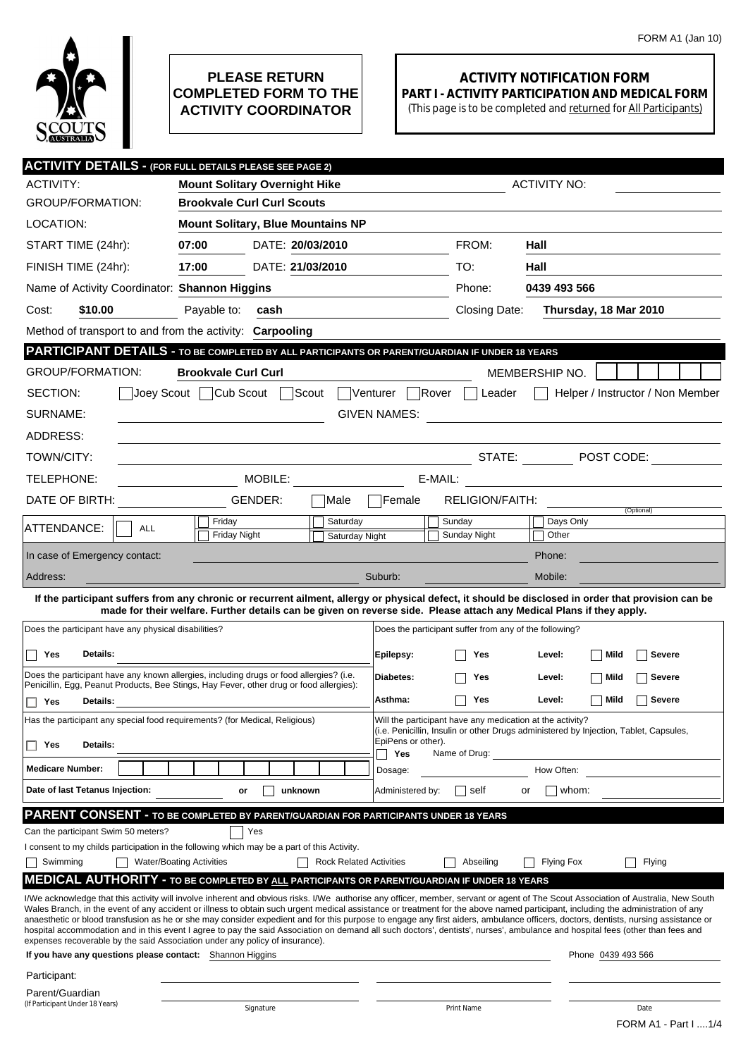

## **PLEASE RETURN COMPLETED FORM TO THE ACTIVITY COORDINATOR**

## **ACTIVITY NOTIFICATION FORM PART I - ACTIVITY PARTICIPATION AND MEDICAL FORM**

(This page is to be completed and returned for All Participants)

|                                                                                                                                                                                                                                                                                                                                                                        | <b>ACTIVITY DETAILS - (FOR FULL DETAILS PLEASE SEE PAGE 2)</b>                                                            |         |                                |                           |                                                                                                                      |                   |                                  |
|------------------------------------------------------------------------------------------------------------------------------------------------------------------------------------------------------------------------------------------------------------------------------------------------------------------------------------------------------------------------|---------------------------------------------------------------------------------------------------------------------------|---------|--------------------------------|---------------------------|----------------------------------------------------------------------------------------------------------------------|-------------------|----------------------------------|
| <b>ACTIVITY:</b>                                                                                                                                                                                                                                                                                                                                                       | <b>Mount Solitary Overnight Hike</b><br><b>ACTIVITY NO:</b>                                                               |         |                                |                           |                                                                                                                      |                   |                                  |
| <b>GROUP/FORMATION:</b>                                                                                                                                                                                                                                                                                                                                                | <b>Brookvale Curl Curl Scouts</b>                                                                                         |         |                                |                           |                                                                                                                      |                   |                                  |
| LOCATION:                                                                                                                                                                                                                                                                                                                                                              | <b>Mount Solitary, Blue Mountains NP</b>                                                                                  |         |                                |                           |                                                                                                                      |                   |                                  |
| START TIME (24hr):                                                                                                                                                                                                                                                                                                                                                     | 07:00                                                                                                                     |         | DATE: 20/03/2010               |                           | FROM:                                                                                                                | Hall              |                                  |
| FINISH TIME (24hr):                                                                                                                                                                                                                                                                                                                                                    | 17:00                                                                                                                     |         | DATE: 21/03/2010               |                           | TO:                                                                                                                  | Hall              |                                  |
| Name of Activity Coordinator: Shannon Higgins                                                                                                                                                                                                                                                                                                                          |                                                                                                                           |         |                                |                           | Phone:                                                                                                               | 0439 493 566      |                                  |
| \$10.00<br>Cost:                                                                                                                                                                                                                                                                                                                                                       | Payable to:                                                                                                               | cash    |                                |                           | Closing Date:                                                                                                        |                   | Thursday, 18 Mar 2010            |
| Method of transport to and from the activity: Carpooling                                                                                                                                                                                                                                                                                                               |                                                                                                                           |         |                                |                           |                                                                                                                      |                   |                                  |
| PARTICIPANT DETAILS - TO BE COMPLETED BY ALL PARTICIPANTS OR PARENT/GUARDIAN IF UNDER 18 YEARS                                                                                                                                                                                                                                                                         |                                                                                                                           |         |                                |                           |                                                                                                                      |                   |                                  |
| <b>GROUP/FORMATION:</b>                                                                                                                                                                                                                                                                                                                                                | <b>Brookvale Curl Curl</b>                                                                                                |         |                                |                           |                                                                                                                      | MEMBERSHIP NO.    |                                  |
| SECTION:<br>Joey Scout                                                                                                                                                                                                                                                                                                                                                 | Cub Scout                                                                                                                 |         | Scout                          | Venturer  <br>∣Rover      | Leader                                                                                                               |                   | Helper / Instructor / Non Member |
| SURNAME:                                                                                                                                                                                                                                                                                                                                                               |                                                                                                                           |         |                                | <b>GIVEN NAMES:</b>       |                                                                                                                      |                   |                                  |
| ADDRESS:                                                                                                                                                                                                                                                                                                                                                               |                                                                                                                           |         |                                |                           |                                                                                                                      |                   |                                  |
| TOWN/CITY:                                                                                                                                                                                                                                                                                                                                                             |                                                                                                                           |         |                                |                           | <b>STATE:</b>                                                                                                        |                   | $\neg$ POST CODE:                |
| TELEPHONE:                                                                                                                                                                                                                                                                                                                                                             | MOBILE: WARD THE STATE OF THE STATE OF THE STATE OF THE STATE OF THE STATE OF THE STATE OF THE STATE OF THE ST<br>E-MAIL: |         |                                |                           |                                                                                                                      |                   |                                  |
| DATE OF BIRTH:                                                                                                                                                                                                                                                                                                                                                         |                                                                                                                           | GENDER: | Male                           | lFemale                   | RELIGION/FAITH:                                                                                                      |                   |                                  |
| ATTENDANCE:<br><b>ALL</b>                                                                                                                                                                                                                                                                                                                                              | Friday                                                                                                                    |         | Saturday                       |                           | Sunday                                                                                                               | Days Only         | (Optional)                       |
|                                                                                                                                                                                                                                                                                                                                                                        | <b>Friday Night</b>                                                                                                       |         | Saturday Night                 |                           | Sunday Night                                                                                                         | Other             |                                  |
| In case of Emergency contact:                                                                                                                                                                                                                                                                                                                                          |                                                                                                                           |         |                                |                           |                                                                                                                      | Phone:            |                                  |
| Address:                                                                                                                                                                                                                                                                                                                                                               |                                                                                                                           |         |                                | Suburb:                   |                                                                                                                      | Mobile:           |                                  |
| If the participant suffers from any chronic or recurrent ailment, allergy or physical defect, it should be disclosed in order that provision can be                                                                                                                                                                                                                    |                                                                                                                           |         |                                |                           | made for their welfare. Further details can be given on reverse side. Please attach any Medical Plans if they apply. |                   |                                  |
| Does the participant have any physical disabilities?                                                                                                                                                                                                                                                                                                                   |                                                                                                                           |         |                                |                           | Does the participant suffer from any of the following?                                                               |                   |                                  |
| Details:<br>Yes                                                                                                                                                                                                                                                                                                                                                        |                                                                                                                           |         |                                | Epilepsy:                 | Yes                                                                                                                  | Level:            | Mild<br>Severe                   |
| Does the participant have any known allergies, including drugs or food allergies? (i.e.                                                                                                                                                                                                                                                                                |                                                                                                                           |         |                                |                           |                                                                                                                      |                   |                                  |
| Penicillin, Egg, Peanut Products, Bee Stings, Hay Fever, other drug or food allergies):                                                                                                                                                                                                                                                                                |                                                                                                                           |         |                                | Diabetes:                 | Yes                                                                                                                  | Level:            | Mild<br><b>Severe</b>            |
| Yes<br>Details:<br>П                                                                                                                                                                                                                                                                                                                                                   |                                                                                                                           |         |                                | Asthma:                   | Yes                                                                                                                  | Level:            | Mild<br><b>Severe</b>            |
| Will the participant have any medication at the activity?<br>Has the participant any special food requirements? (for Medical, Religious)<br>(i.e. Penicillin, Insulin or other Drugs administered by Injection, Tablet, Capsules,                                                                                                                                      |                                                                                                                           |         |                                |                           |                                                                                                                      |                   |                                  |
| Details:<br>Yes<br>U                                                                                                                                                                                                                                                                                                                                                   |                                                                                                                           |         |                                |                           |                                                                                                                      |                   |                                  |
|                                                                                                                                                                                                                                                                                                                                                                        |                                                                                                                           |         |                                | EpiPens or other).<br>Yes | Name of Drug:                                                                                                        |                   |                                  |
| <b>Medicare Number:</b>                                                                                                                                                                                                                                                                                                                                                |                                                                                                                           |         |                                | Dosage:                   |                                                                                                                      | How Often:        |                                  |
| Date of last Tetanus Injection:                                                                                                                                                                                                                                                                                                                                        | or                                                                                                                        |         | unknown                        | Administered by:          | self                                                                                                                 | whom:<br>or       |                                  |
| <b>PARENT CONSENT - TO BE COMPLETED BY PARENT/GUARDIAN FOR PARTICIPANTS UNDER 18 YEARS</b>                                                                                                                                                                                                                                                                             |                                                                                                                           |         |                                |                           |                                                                                                                      |                   |                                  |
| Can the participant Swim 50 meters?                                                                                                                                                                                                                                                                                                                                    |                                                                                                                           | Yes     |                                |                           |                                                                                                                      |                   |                                  |
| I consent to my childs participation in the following which may be a part of this Activity.                                                                                                                                                                                                                                                                            |                                                                                                                           |         |                                |                           |                                                                                                                      |                   |                                  |
| Swimming                                                                                                                                                                                                                                                                                                                                                               | <b>Water/Boating Activities</b>                                                                                           |         | <b>Rock Related Activities</b> |                           | Abseiling                                                                                                            | <b>Flying Fox</b> | Flying                           |
| <b>MEDICAL AUTHORITY - TO BE COMPLETED BY ALL PARTICIPANTS OR PARENT/GUARDIAN IF UNDER 18 YEARS</b>                                                                                                                                                                                                                                                                    |                                                                                                                           |         |                                |                           |                                                                                                                      |                   |                                  |
| I/We acknowledge that this activity will involve inherent and obvious risks. I/We authorise any officer, member, servant or agent of The Scout Association of Australia, New South<br>Wales Branch, in the event of any accident or illness to obtain such urgent medical assistance or treatment for the above named participant, including the administration of any |                                                                                                                           |         |                                |                           |                                                                                                                      |                   |                                  |
| anaesthetic or blood transfusion as he or she may consider expedient and for this purpose to engage any first aiders, ambulance officers, doctors, dentists, nursing assistance or<br>hospital accommodation and in this event I agree to pay the said Association on demand all such doctors', dentists', nurses', ambulance and hospital fees (other than fees and   |                                                                                                                           |         |                                |                           |                                                                                                                      |                   |                                  |
| expenses recoverable by the said Association under any policy of insurance).<br>If you have any questions please contact: Shannon Higgins                                                                                                                                                                                                                              |                                                                                                                           |         |                                |                           |                                                                                                                      |                   | Phone 0439 493 566               |
| Participant:                                                                                                                                                                                                                                                                                                                                                           |                                                                                                                           |         |                                |                           |                                                                                                                      |                   |                                  |
| Parent/Guardian<br>(If Participant Under 18 Years)                                                                                                                                                                                                                                                                                                                     |                                                                                                                           |         |                                |                           |                                                                                                                      |                   |                                  |